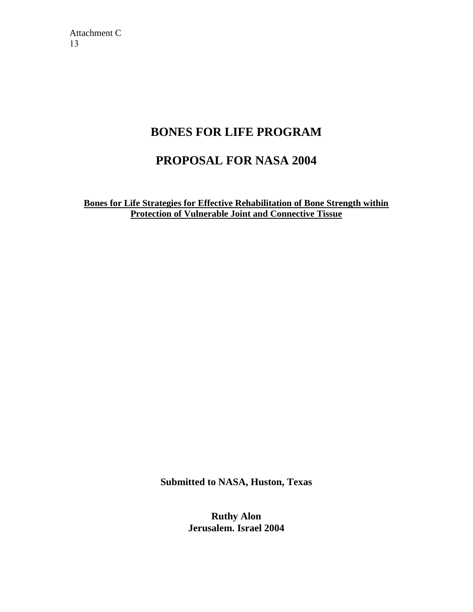## **BONES FOR LIFE PROGRAM**

## **PROPOSAL FOR NASA 2004**

**Bones for Life Strategies for Effective Rehabilitation of Bone Strength within Protection of Vulnerable Joint and Connective Tissue**

**Submitted to NASA, Huston, Texas**

**Ruthy Alon Jerusalem. Israel 2004**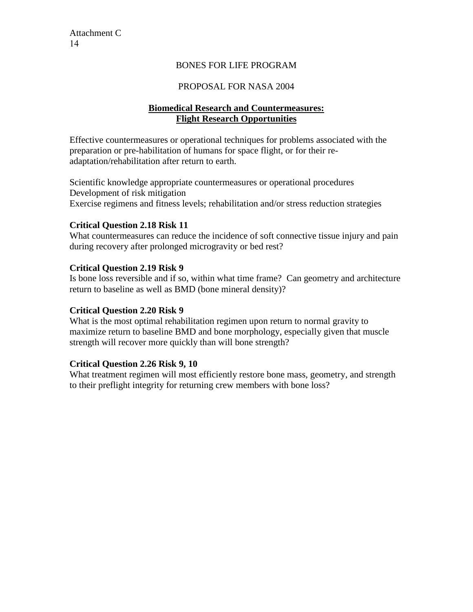#### BONES FOR LIFE PROGRAM

#### PROPOSAL FOR NASA 2004

#### **Biomedical Research and Countermeasures: Flight Research Opportunities**

Effective countermeasures or operational techniques for problems associated with the preparation or pre-habilitation of humans for space flight, or for their readaptation/rehabilitation after return to earth.

Scientific knowledge appropriate countermeasures or operational procedures Development of risk mitigation Exercise regimens and fitness levels; rehabilitation and/or stress reduction strategies

#### **Critical Question 2.18 Risk 11**

What countermeasures can reduce the incidence of soft connective tissue injury and pain during recovery after prolonged microgravity or bed rest?

#### **Critical Question 2.19 Risk 9**

Is bone loss reversible and if so, within what time frame? Can geometry and architecture return to baseline as well as BMD (bone mineral density)?

#### **Critical Question 2.20 Risk 9**

What is the most optimal rehabilitation regimen upon return to normal gravity to maximize return to baseline BMD and bone morphology, especially given that muscle strength will recover more quickly than will bone strength?

#### **Critical Question 2.26 Risk 9, 10**

What treatment regimen will most efficiently restore bone mass, geometry, and strength to their preflight integrity for returning crew members with bone loss?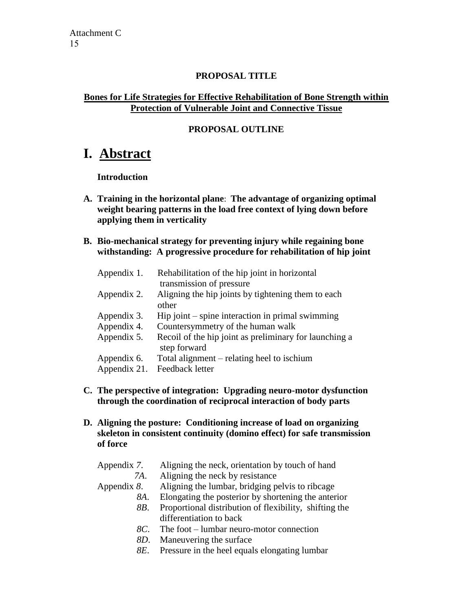#### **PROPOSAL TITLE**

### **Bones for Life Strategies for Effective Rehabilitation of Bone Strength within Protection of Vulnerable Joint and Connective Tissue**

### **PROPOSAL OUTLINE**

## **I. Abstract**

#### **Introduction**

- **A. Training in the horizontal plane**: **The advantage of organizing optimal weight bearing patterns in the load free context of lying down before applying them in verticality**
- **B. Bio-mechanical strategy for preventing injury while regaining bone withstanding: A progressive procedure for rehabilitation of hip joint**

| Appendix 1.  | Rehabilitation of the hip joint in horizontal<br>transmission of pressure |
|--------------|---------------------------------------------------------------------------|
| Appendix 2.  | Aligning the hip joints by tightening them to each<br>other               |
| Appendix 3.  | $\text{Hip}\text{ joint}$ – spine interaction in primal swimming          |
| Appendix 4.  | Countersymmetry of the human walk                                         |
| Appendix 5.  | Recoil of the hip joint as preliminary for launching a<br>step forward    |
| Appendix 6.  | Total alignment – relating heel to ischium                                |
| Appendix 21. | Feedback letter                                                           |

- **C. The perspective of integration: Upgrading neuro-motor dysfunction through the coordination of reciprocal interaction of body parts**
- **D. Aligning the posture: Conditioning increase of load on organizing skeleton in consistent continuity (domino effect) for safe transmission of force**

| Appendix 7.    | Aligning the neck, orientation by touch of hand        |
|----------------|--------------------------------------------------------|
| 7A.            | Aligning the neck by resistance                        |
| Appendix $8$ . | Aligning the lumbar, bridging pelvis to ribcage        |
| 8A.            | Elongating the posterior by shortening the anterior    |
| 8B.            | Proportional distribution of flexibility, shifting the |
|                | differentiation to back                                |
| 8C.            | The foot – lumbar neuro-motor connection               |
|                | Monouvaring the queface                                |

- *8D*. Maneuvering the surface
- *8E*. Pressure in the heel equals elongating lumbar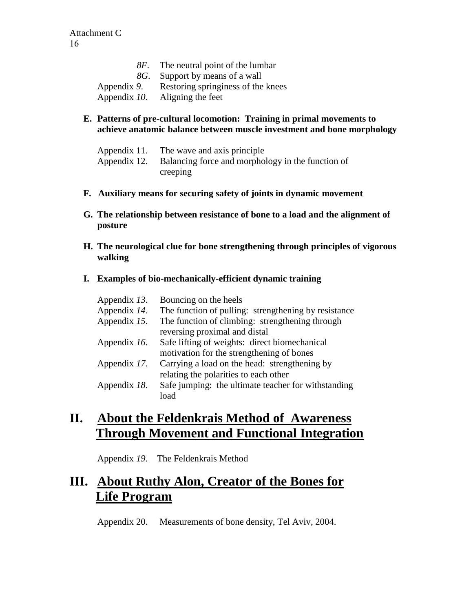|             | 8F. The neutral point of the lumbar |
|-------------|-------------------------------------|
|             | 8G. Support by means of a wall      |
| Appendix 9. | Restoring springiness of the knees  |
|             | Appendix $10$ . Aligning the feet   |

#### **E. Patterns of pre-cultural locomotion: Training in primal movements to achieve anatomic balance between muscle investment and bone morphology**

| Appendix 11. | The wave and axis principle                                    |
|--------------|----------------------------------------------------------------|
|              | Appendix 12. Balancing force and morphology in the function of |
|              | creeping                                                       |

- **F. Auxiliary means for securing safety of joints in dynamic movement**
- **G. The relationship between resistance of bone to a load and the alignment of posture**
- **H. The neurological clue for bone strengthening through principles of vigorous walking**

#### **I. Examples of bio-mechanically-efficient dynamic training**

| Appendix 13. | Bouncing on the heels                                |
|--------------|------------------------------------------------------|
| Appendix 14. | The function of pulling: strengthening by resistance |
| Appendix 15. | The function of climbing: strengthening through      |
|              | reversing proximal and distal                        |
| Appendix 16. | Safe lifting of weights: direct biomechanical        |
|              | motivation for the strengthening of bones            |
| Appendix 17. | Carrying a load on the head: strengthening by        |
|              | relating the polarities to each other                |
| Appendix 18. | Safe jumping: the ultimate teacher for withstanding  |
|              | load                                                 |

# **II. About the Feldenkrais Method of Awareness Through Movement and Functional Integration**

Appendix *19*. The Feldenkrais Method

# **III. About Ruthy Alon, Creator of the Bones for Life Program**

Appendix 20. Measurements of bone density, Tel Aviv, 2004.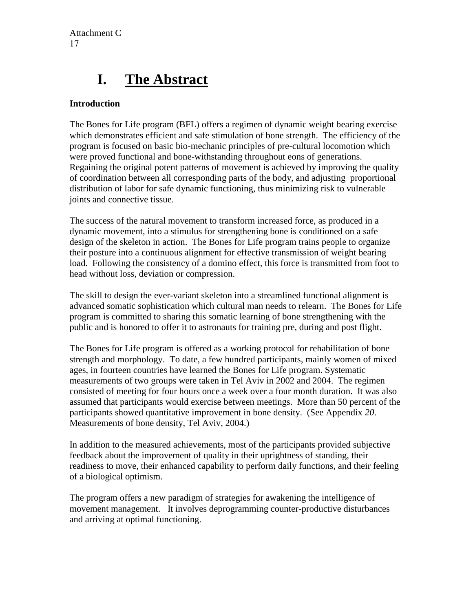# **I. The Abstract**

### **Introduction**

The Bones for Life program (BFL) offers a regimen of dynamic weight bearing exercise which demonstrates efficient and safe stimulation of bone strength. The efficiency of the program is focused on basic bio-mechanic principles of pre-cultural locomotion which were proved functional and bone-withstanding throughout eons of generations. Regaining the original potent patterns of movement is achieved by improving the quality of coordination between all corresponding parts of the body, and adjusting proportional distribution of labor for safe dynamic functioning, thus minimizing risk to vulnerable joints and connective tissue.

The success of the natural movement to transform increased force, as produced in a dynamic movement, into a stimulus for strengthening bone is conditioned on a safe design of the skeleton in action. The Bones for Life program trains people to organize their posture into a continuous alignment for effective transmission of weight bearing load. Following the consistency of a domino effect, this force is transmitted from foot to head without loss, deviation or compression.

The skill to design the ever-variant skeleton into a streamlined functional alignment is advanced somatic sophistication which cultural man needs to relearn. The Bones for Life program is committed to sharing this somatic learning of bone strengthening with the public and is honored to offer it to astronauts for training pre, during and post flight.

The Bones for Life program is offered as a working protocol for rehabilitation of bone strength and morphology. To date, a few hundred participants, mainly women of mixed ages, in fourteen countries have learned the Bones for Life program. Systematic measurements of two groups were taken in Tel Aviv in 2002 and 2004. The regimen consisted of meeting for four hours once a week over a four month duration. It was also assumed that participants would exercise between meetings. More than 50 percent of the participants showed quantitative improvement in bone density. (See Appendix *20*. Measurements of bone density, Tel Aviv, 2004.)

In addition to the measured achievements, most of the participants provided subjective feedback about the improvement of quality in their uprightness of standing, their readiness to move, their enhanced capability to perform daily functions, and their feeling of a biological optimism.

The program offers a new paradigm of strategies for awakening the intelligence of movement management. It involves deprogramming counter-productive disturbances and arriving at optimal functioning.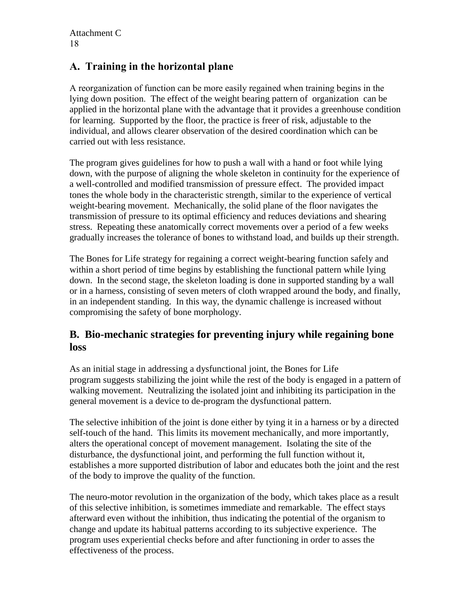## **A. Training in the horizontal plane**

A reorganization of function can be more easily regained when training begins in the lying down position. The effect of the weight bearing pattern of organization can be applied in the horizontal plane with the advantage that it provides a greenhouse condition for learning. Supported by the floor, the practice is freer of risk, adjustable to the individual, and allows clearer observation of the desired coordination which can be carried out with less resistance.

The program gives guidelines for how to push a wall with a hand or foot while lying down, with the purpose of aligning the whole skeleton in continuity for the experience of a well-controlled and modified transmission of pressure effect. The provided impact tones the whole body in the characteristic strength, similar to the experience of vertical weight-bearing movement. Mechanically, the solid plane of the floor navigates the transmission of pressure to its optimal efficiency and reduces deviations and shearing stress. Repeating these anatomically correct movements over a period of a few weeks gradually increases the tolerance of bones to withstand load, and builds up their strength.

The Bones for Life strategy for regaining a correct weight-bearing function safely and within a short period of time begins by establishing the functional pattern while lying down. In the second stage, the skeleton loading is done in supported standing by a wall or in a harness, consisting of seven meters of cloth wrapped around the body, and finally, in an independent standing. In this way, the dynamic challenge is increased without compromising the safety of bone morphology.

## **B. Bio-mechanic strategies for preventing injury while regaining bone loss**

As an initial stage in addressing a dysfunctional joint, the Bones for Life program suggests stabilizing the joint while the rest of the body is engaged in a pattern of walking movement. Neutralizing the isolated joint and inhibiting its participation in the general movement is a device to de-program the dysfunctional pattern.

The selective inhibition of the joint is done either by tying it in a harness or by a directed self-touch of the hand. This limits its movement mechanically, and more importantly, alters the operational concept of movement management. Isolating the site of the disturbance, the dysfunctional joint, and performing the full function without it, establishes a more supported distribution of labor and educates both the joint and the rest of the body to improve the quality of the function.

The neuro-motor revolution in the organization of the body, which takes place as a result of this selective inhibition, is sometimes immediate and remarkable. The effect stays afterward even without the inhibition, thus indicating the potential of the organism to change and update its habitual patterns according to its subjective experience. The program uses experiential checks before and after functioning in order to asses the effectiveness of the process.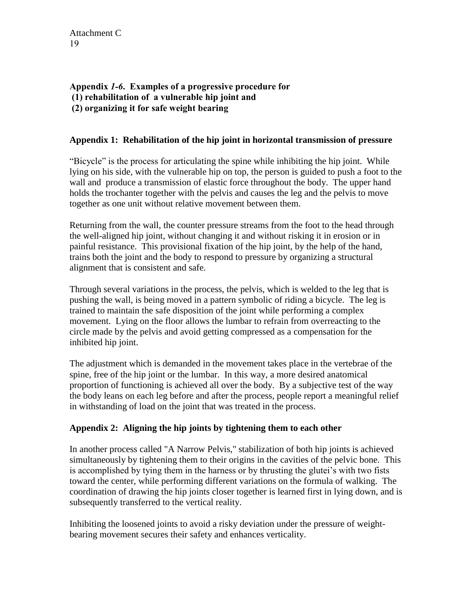#### **Appendix** *1-6***. Examples of a progressive procedure for (1) rehabilitation of a vulnerable hip joint and (2) organizing it for safe weight bearing**

#### **Appendix 1: Rehabilitation of the hip joint in horizontal transmission of pressure**

"Bicycle" is the process for articulating the spine while inhibiting the hip joint. While lying on his side, with the vulnerable hip on top, the person is guided to push a foot to the wall and produce a transmission of elastic force throughout the body. The upper hand holds the trochanter together with the pelvis and causes the leg and the pelvis to move together as one unit without relative movement between them.

Returning from the wall, the counter pressure streams from the foot to the head through the well-aligned hip joint, without changing it and without risking it in erosion or in painful resistance. This provisional fixation of the hip joint, by the help of the hand, trains both the joint and the body to respond to pressure by organizing a structural alignment that is consistent and safe.

Through several variations in the process, the pelvis, which is welded to the leg that is pushing the wall, is being moved in a pattern symbolic of riding a bicycle. The leg is trained to maintain the safe disposition of the joint while performing a complex movement. Lying on the floor allows the lumbar to refrain from overreacting to the circle made by the pelvis and avoid getting compressed as a compensation for the inhibited hip joint.

The adjustment which is demanded in the movement takes place in the vertebrae of the spine, free of the hip joint or the lumbar. In this way, a more desired anatomical proportion of functioning is achieved all over the body. By a subjective test of the way the body leans on each leg before and after the process, people report a meaningful relief in withstanding of load on the joint that was treated in the process.

#### **Appendix 2: Aligning the hip joints by tightening them to each other**

In another process called "A Narrow Pelvis," stabilization of both hip joints is achieved simultaneously by tightening them to their origins in the cavities of the pelvic bone. This is accomplished by tying them in the harness or by thrusting the glutei's with two fists toward the center, while performing different variations on the formula of walking. The coordination of drawing the hip joints closer together is learned first in lying down, and is subsequently transferred to the vertical reality.

Inhibiting the loosened joints to avoid a risky deviation under the pressure of weightbearing movement secures their safety and enhances verticality.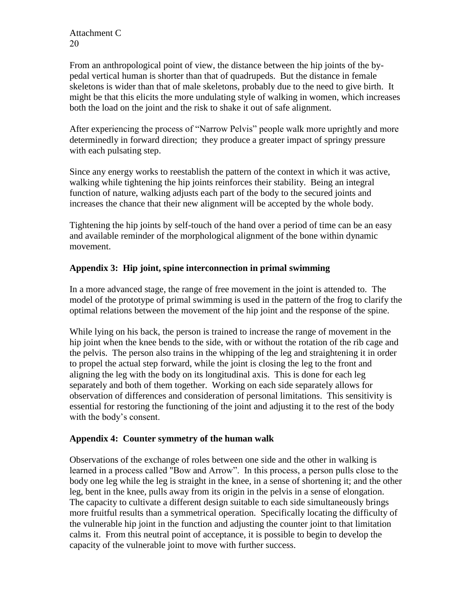From an anthropological point of view, the distance between the hip joints of the bypedal vertical human is shorter than that of quadrupeds. But the distance in female skeletons is wider than that of male skeletons, probably due to the need to give birth. It might be that this elicits the more undulating style of walking in women, which increases both the load on the joint and the risk to shake it out of safe alignment.

After experiencing the process of "Narrow Pelvis" people walk more uprightly and more determinedly in forward direction; they produce a greater impact of springy pressure with each pulsating step.

Since any energy works to reestablish the pattern of the context in which it was active, walking while tightening the hip joints reinforces their stability. Being an integral function of nature, walking adjusts each part of the body to the secured joints and increases the chance that their new alignment will be accepted by the whole body.

Tightening the hip joints by self-touch of the hand over a period of time can be an easy and available reminder of the morphological alignment of the bone within dynamic movement.

#### **Appendix 3: Hip joint, spine interconnection in primal swimming**

In a more advanced stage, the range of free movement in the joint is attended to. The model of the prototype of primal swimming is used in the pattern of the frog to clarify the optimal relations between the movement of the hip joint and the response of the spine.

While lying on his back, the person is trained to increase the range of movement in the hip joint when the knee bends to the side, with or without the rotation of the rib cage and the pelvis. The person also trains in the whipping of the leg and straightening it in order to propel the actual step forward, while the joint is closing the leg to the front and aligning the leg with the body on its longitudinal axis. This is done for each leg separately and both of them together. Working on each side separately allows for observation of differences and consideration of personal limitations. This sensitivity is essential for restoring the functioning of the joint and adjusting it to the rest of the body with the body's consent.

#### **Appendix 4: Counter symmetry of the human walk**

Observations of the exchange of roles between one side and the other in walking is learned in a process called "Bow and Arrow". In this process, a person pulls close to the body one leg while the leg is straight in the knee, in a sense of shortening it; and the other leg, bent in the knee, pulls away from its origin in the pelvis in a sense of elongation. The capacity to cultivate a different design suitable to each side simultaneously brings more fruitful results than a symmetrical operation. Specifically locating the difficulty of the vulnerable hip joint in the function and adjusting the counter joint to that limitation calms it. From this neutral point of acceptance, it is possible to begin to develop the capacity of the vulnerable joint to move with further success.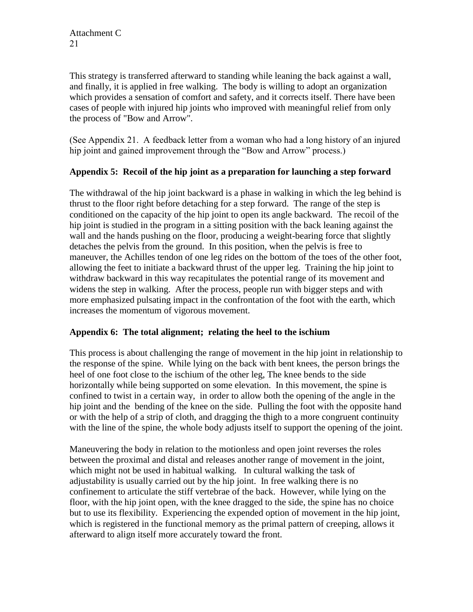This strategy is transferred afterward to standing while leaning the back against a wall, and finally, it is applied in free walking. The body is willing to adopt an organization which provides a sensation of comfort and safety, and it corrects itself. There have been cases of people with injured hip joints who improved with meaningful relief from only the process of "Bow and Arrow".

(See Appendix 21. A feedback letter from a woman who had a long history of an injured hip joint and gained improvement through the "Bow and Arrow" process.)

#### **Appendix 5: Recoil of the hip joint as a preparation for launching a step forward**

The withdrawal of the hip joint backward is a phase in walking in which the leg behind is thrust to the floor right before detaching for a step forward. The range of the step is conditioned on the capacity of the hip joint to open its angle backward. The recoil of the hip joint is studied in the program in a sitting position with the back leaning against the wall and the hands pushing on the floor, producing a weight-bearing force that slightly detaches the pelvis from the ground. In this position, when the pelvis is free to maneuver, the Achilles tendon of one leg rides on the bottom of the toes of the other foot, allowing the feet to initiate a backward thrust of the upper leg. Training the hip joint to withdraw backward in this way recapitulates the potential range of its movement and widens the step in walking. After the process, people run with bigger steps and with more emphasized pulsating impact in the confrontation of the foot with the earth, which increases the momentum of vigorous movement.

#### **Appendix 6: The total alignment; relating the heel to the ischium**

This process is about challenging the range of movement in the hip joint in relationship to the response of the spine. While lying on the back with bent knees, the person brings the heel of one foot close to the ischium of the other leg, The knee bends to the side horizontally while being supported on some elevation. In this movement, the spine is confined to twist in a certain way, in order to allow both the opening of the angle in the hip joint and the bending of the knee on the side. Pulling the foot with the opposite hand or with the help of a strip of cloth, and dragging the thigh to a more congruent continuity with the line of the spine, the whole body adjusts itself to support the opening of the joint.

Maneuvering the body in relation to the motionless and open joint reverses the roles between the proximal and distal and releases another range of movement in the joint, which might not be used in habitual walking. In cultural walking the task of adjustability is usually carried out by the hip joint. In free walking there is no confinement to articulate the stiff vertebrae of the back. However, while lying on the floor, with the hip joint open, with the knee dragged to the side, the spine has no choice but to use its flexibility. Experiencing the expended option of movement in the hip joint, which is registered in the functional memory as the primal pattern of creeping, allows it afterward to align itself more accurately toward the front.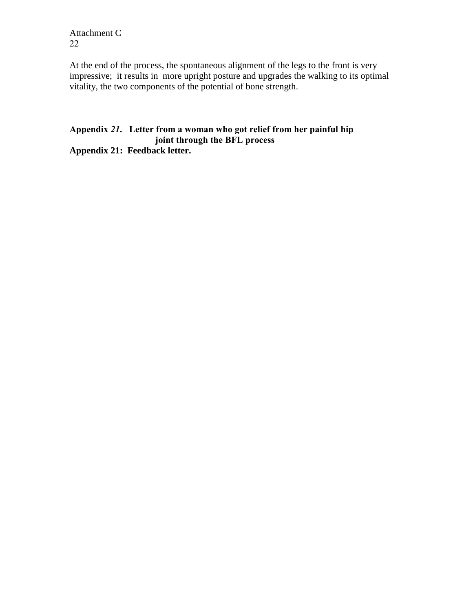At the end of the process, the spontaneous alignment of the legs to the front is very impressive; it results in more upright posture and upgrades the walking to its optimal vitality, the two components of the potential of bone strength.

#### **Appendix** *21***. Letter from a woman who got relief from her painful hip joint through the BFL process Appendix 21: Feedback letter.**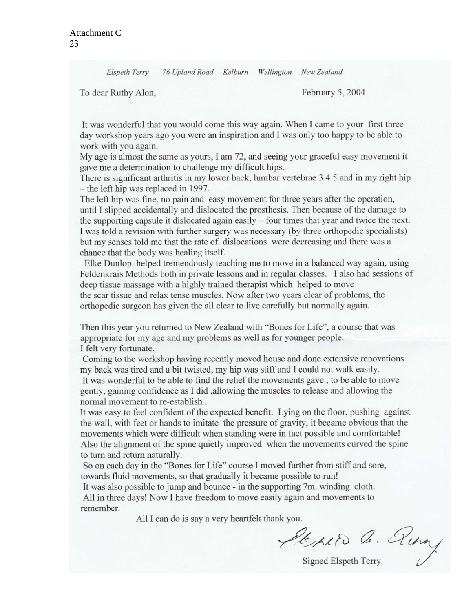Elspeth Terry 76 Upland Road Kelburn Wellington New Zealand

To dear Ruthy Alon,

February 5, 2004

It was wonderful that you would come this way again. When I came to your first three day workshop years ago you were an inspiration and I was only too happy to be able to work with you again.

My age is almost the same as yours, I am 72, and seeing your graceful easy movement it gave me a determination to challenge my difficult hips.

There is significant arthritis in my lower back, lumbar vertebrae 3 4 5 and in my right hip - the left hip was replaced in 1997.

The left hip was fine, no pain and easy movement for three years after the operation, until I slipped accidentally and dislocated the prosthesis. Then because of the damage to the supporting capsule it dislocated again easily – four times that year and twice the next. I was told a revision with further surgery was necessary (by three orthopedic specialists) but my senses told me that the rate of dislocations were decreasing and there was a chance that the body was healing itself.

Elke Dunlop helped tremendously teaching me to move in a balanced way again, using Feldenkrais Methods both in private lessons and in regular classes. I also had sessions of deep tissue massage with a highly trained therapist which helped to move the scar tissue and relax tense muscles. Now after two years clear of problems, the orthopedic surgeon has given the all clear to live carefully but normally again.

Then this year you returned to New Zealand with "Bones for Life", a course that was appropriate for my age and my problems as well as for younger people. I felt very fortunate.

Coming to the workshop having recently moved house and done extensive renovations my back was tired and a bit twisted, my hip was stiff and I could not walk easily. It was wonderful to be able to find the relief the movements gave, to be able to move gently, gaining confidence as I did, allowing the muscles to release and allowing the normal movement to re-establish.

It was easy to feel confident of the expected benefit. Lying on the floor, pushing against the wall, with feet or hands to imitate the pressure of gravity, it became obvious that the movements which were difficult when standing were in fact possible and comfortable! Also the alignment of the spine quietly improved when the movements curved the spine to turn and return naturally.

So on each day in the "Bones for Life" course I moved further from stiff and sore, towards fluid movements, so that gradually it became possible to run!

It was also possible to jump and bounce - in the supporting 7m, winding cloth. All in three days! Now I have freedom to move easily again and movements to remember.

All I can do is say a very heartfelt thank you.

Lespeto Q. Ring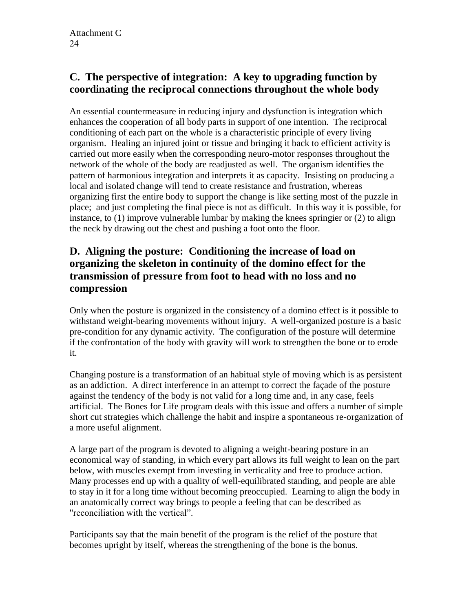## **C. The perspective of integration: A key to upgrading function by coordinating the reciprocal connections throughout the whole body**

An essential countermeasure in reducing injury and dysfunction is integration which enhances the cooperation of all body parts in support of one intention. The reciprocal conditioning of each part on the whole is a characteristic principle of every living organism. Healing an injured joint or tissue and bringing it back to efficient activity is carried out more easily when the corresponding neuro-motor responses throughout the network of the whole of the body are readjusted as well. The organism identifies the pattern of harmonious integration and interprets it as capacity. Insisting on producing a local and isolated change will tend to create resistance and frustration, whereas organizing first the entire body to support the change is like setting most of the puzzle in place; and just completing the final piece is not as difficult. In this way it is possible, for instance, to (1) improve vulnerable lumbar by making the knees springier or (2) to align the neck by drawing out the chest and pushing a foot onto the floor.

## **D. Aligning the posture: Conditioning the increase of load on organizing the skeleton in continuity of the domino effect for the transmission of pressure from foot to head with no loss and no compression**

Only when the posture is organized in the consistency of a domino effect is it possible to withstand weight-bearing movements without injury. A well-organized posture is a basic pre-condition for any dynamic activity. The configuration of the posture will determine if the confrontation of the body with gravity will work to strengthen the bone or to erode it.

Changing posture is a transformation of an habitual style of moving which is as persistent as an addiction. A direct interference in an attempt to correct the façade of the posture against the tendency of the body is not valid for a long time and, in any case, feels artificial. The Bones for Life program deals with this issue and offers a number of simple short cut strategies which challenge the habit and inspire a spontaneous re-organization of a more useful alignment.

A large part of the program is devoted to aligning a weight-bearing posture in an economical way of standing, in which every part allows its full weight to lean on the part below, with muscles exempt from investing in verticality and free to produce action. Many processes end up with a quality of well-equilibrated standing, and people are able to stay in it for a long time without becoming preoccupied. Learning to align the body in an anatomically correct way brings to people a feeling that can be described as "reconciliation with the vertical".

Participants say that the main benefit of the program is the relief of the posture that becomes upright by itself, whereas the strengthening of the bone is the bonus.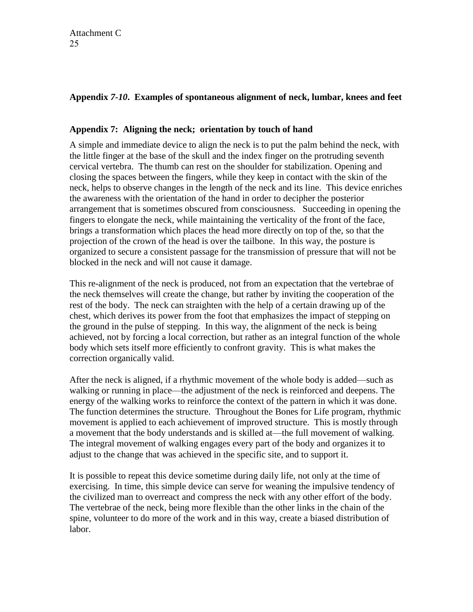### **Appendix** *7-10***. Examples of spontaneous alignment of neck, lumbar, knees and feet**

#### **Appendix 7: Aligning the neck; orientation by touch of hand**

A simple and immediate device to align the neck is to put the palm behind the neck, with the little finger at the base of the skull and the index finger on the protruding seventh cervical vertebra. The thumb can rest on the shoulder for stabilization. Opening and closing the spaces between the fingers, while they keep in contact with the skin of the neck, helps to observe changes in the length of the neck and its line. This device enriches the awareness with the orientation of the hand in order to decipher the posterior arrangement that is sometimes obscured from consciousness. Succeeding in opening the fingers to elongate the neck, while maintaining the verticality of the front of the face, brings a transformation which places the head more directly on top of the, so that the projection of the crown of the head is over the tailbone. In this way, the posture is organized to secure a consistent passage for the transmission of pressure that will not be blocked in the neck and will not cause it damage.

This re-alignment of the neck is produced, not from an expectation that the vertebrae of the neck themselves will create the change, but rather by inviting the cooperation of the rest of the body. The neck can straighten with the help of a certain drawing up of the chest, which derives its power from the foot that emphasizes the impact of stepping on the ground in the pulse of stepping. In this way, the alignment of the neck is being achieved, not by forcing a local correction, but rather as an integral function of the whole body which sets itself more efficiently to confront gravity. This is what makes the correction organically valid.

After the neck is aligned, if a rhythmic movement of the whole body is added—such as walking or running in place—the adjustment of the neck is reinforced and deepens. The energy of the walking works to reinforce the context of the pattern in which it was done. The function determines the structure. Throughout the Bones for Life program, rhythmic movement is applied to each achievement of improved structure. This is mostly through a movement that the body understands and is skilled at—the full movement of walking. The integral movement of walking engages every part of the body and organizes it to adjust to the change that was achieved in the specific site, and to support it.

It is possible to repeat this device sometime during daily life, not only at the time of exercising. In time, this simple device can serve for weaning the impulsive tendency of the civilized man to overreact and compress the neck with any other effort of the body. The vertebrae of the neck, being more flexible than the other links in the chain of the spine, volunteer to do more of the work and in this way, create a biased distribution of labor.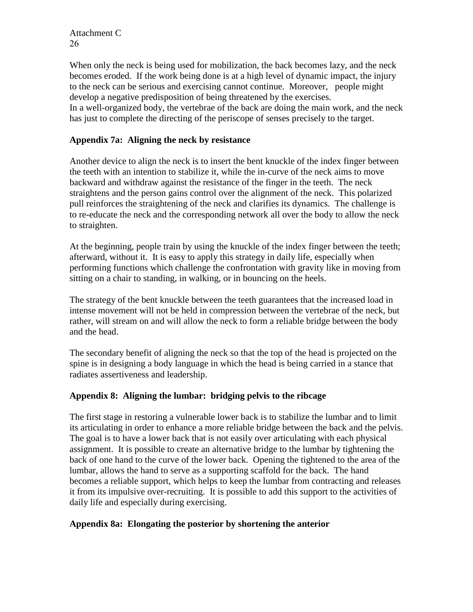When only the neck is being used for mobilization, the back becomes lazy, and the neck becomes eroded. If the work being done is at a high level of dynamic impact, the injury to the neck can be serious and exercising cannot continue. Moreover, people might develop a negative predisposition of being threatened by the exercises. In a well-organized body, the vertebrae of the back are doing the main work, and the neck has just to complete the directing of the periscope of senses precisely to the target.

#### **Appendix 7a: Aligning the neck by resistance**

Another device to align the neck is to insert the bent knuckle of the index finger between the teeth with an intention to stabilize it, while the in-curve of the neck aims to move backward and withdraw against the resistance of the finger in the teeth. The neck straightens and the person gains control over the alignment of the neck. This polarized pull reinforces the straightening of the neck and clarifies its dynamics. The challenge is to re-educate the neck and the corresponding network all over the body to allow the neck to straighten.

At the beginning, people train by using the knuckle of the index finger between the teeth; afterward, without it. It is easy to apply this strategy in daily life, especially when performing functions which challenge the confrontation with gravity like in moving from sitting on a chair to standing, in walking, or in bouncing on the heels.

The strategy of the bent knuckle between the teeth guarantees that the increased load in intense movement will not be held in compression between the vertebrae of the neck, but rather, will stream on and will allow the neck to form a reliable bridge between the body and the head.

The secondary benefit of aligning the neck so that the top of the head is projected on the spine is in designing a body language in which the head is being carried in a stance that radiates assertiveness and leadership.

#### **Appendix 8: Aligning the lumbar: bridging pelvis to the ribcage**

The first stage in restoring a vulnerable lower back is to stabilize the lumbar and to limit its articulating in order to enhance a more reliable bridge between the back and the pelvis. The goal is to have a lower back that is not easily over articulating with each physical assignment. It is possible to create an alternative bridge to the lumbar by tightening the back of one hand to the curve of the lower back. Opening the tightened to the area of the lumbar, allows the hand to serve as a supporting scaffold for the back. The hand becomes a reliable support, which helps to keep the lumbar from contracting and releases it from its impulsive over-recruiting. It is possible to add this support to the activities of daily life and especially during exercising.

#### **Appendix 8a: Elongating the posterior by shortening the anterior**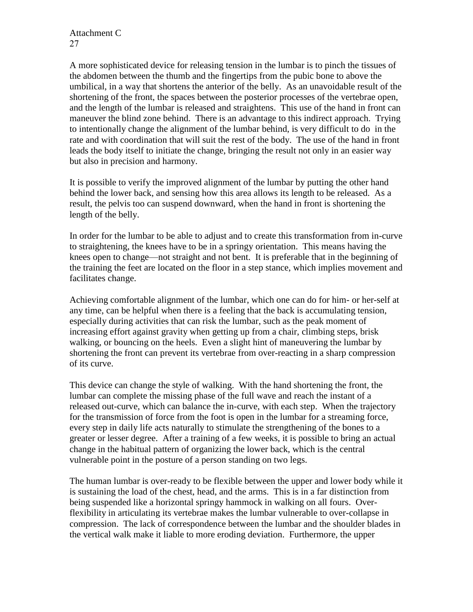A more sophisticated device for releasing tension in the lumbar is to pinch the tissues of the abdomen between the thumb and the fingertips from the pubic bone to above the umbilical, in a way that shortens the anterior of the belly. As an unavoidable result of the shortening of the front, the spaces between the posterior processes of the vertebrae open, and the length of the lumbar is released and straightens. This use of the hand in front can maneuver the blind zone behind. There is an advantage to this indirect approach. Trying to intentionally change the alignment of the lumbar behind, is very difficult to do in the rate and with coordination that will suit the rest of the body. The use of the hand in front leads the body itself to initiate the change, bringing the result not only in an easier way but also in precision and harmony.

It is possible to verify the improved alignment of the lumbar by putting the other hand behind the lower back, and sensing how this area allows its length to be released. As a result, the pelvis too can suspend downward, when the hand in front is shortening the length of the belly.

In order for the lumbar to be able to adjust and to create this transformation from in-curve to straightening, the knees have to be in a springy orientation. This means having the knees open to change—not straight and not bent. It is preferable that in the beginning of the training the feet are located on the floor in a step stance, which implies movement and facilitates change.

Achieving comfortable alignment of the lumbar, which one can do for him- or her-self at any time, can be helpful when there is a feeling that the back is accumulating tension, especially during activities that can risk the lumbar, such as the peak moment of increasing effort against gravity when getting up from a chair, climbing steps, brisk walking, or bouncing on the heels. Even a slight hint of maneuvering the lumbar by shortening the front can prevent its vertebrae from over-reacting in a sharp compression of its curve.

This device can change the style of walking. With the hand shortening the front, the lumbar can complete the missing phase of the full wave and reach the instant of a released out-curve, which can balance the in-curve, with each step. When the trajectory for the transmission of force from the foot is open in the lumbar for a streaming force, every step in daily life acts naturally to stimulate the strengthening of the bones to a greater or lesser degree. After a training of a few weeks, it is possible to bring an actual change in the habitual pattern of organizing the lower back, which is the central vulnerable point in the posture of a person standing on two legs.

The human lumbar is over-ready to be flexible between the upper and lower body while it is sustaining the load of the chest, head, and the arms. This is in a far distinction from being suspended like a horizontal springy hammock in walking on all fours. Overflexibility in articulating its vertebrae makes the lumbar vulnerable to over-collapse in compression. The lack of correspondence between the lumbar and the shoulder blades in the vertical walk make it liable to more eroding deviation. Furthermore, the upper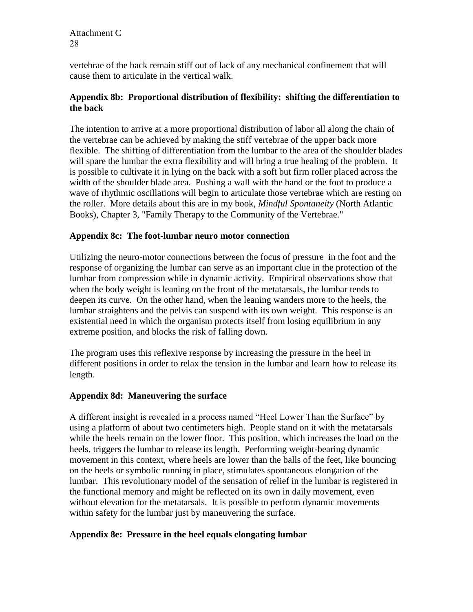vertebrae of the back remain stiff out of lack of any mechanical confinement that will cause them to articulate in the vertical walk.

#### **Appendix 8b: Proportional distribution of flexibility: shifting the differentiation to the back**

The intention to arrive at a more proportional distribution of labor all along the chain of the vertebrae can be achieved by making the stiff vertebrae of the upper back more flexible. The shifting of differentiation from the lumbar to the area of the shoulder blades will spare the lumbar the extra flexibility and will bring a true healing of the problem. It is possible to cultivate it in lying on the back with a soft but firm roller placed across the width of the shoulder blade area. Pushing a wall with the hand or the foot to produce a wave of rhythmic oscillations will begin to articulate those vertebrae which are resting on the roller. More details about this are in my book, *Mindful Spontaneity* (North Atlantic Books), Chapter 3, "Family Therapy to the Community of the Vertebrae."

#### **Appendix 8c: The foot-lumbar neuro motor connection**

Utilizing the neuro-motor connections between the focus of pressure in the foot and the response of organizing the lumbar can serve as an important clue in the protection of the lumbar from compression while in dynamic activity. Empirical observations show that when the body weight is leaning on the front of the metatarsals, the lumbar tends to deepen its curve. On the other hand, when the leaning wanders more to the heels, the lumbar straightens and the pelvis can suspend with its own weight. This response is an existential need in which the organism protects itself from losing equilibrium in any extreme position, and blocks the risk of falling down.

The program uses this reflexive response by increasing the pressure in the heel in different positions in order to relax the tension in the lumbar and learn how to release its length.

#### **Appendix 8d: Maneuvering the surface**

A different insight is revealed in a process named "Heel Lower Than the Surface" by using a platform of about two centimeters high. People stand on it with the metatarsals while the heels remain on the lower floor. This position, which increases the load on the heels, triggers the lumbar to release its length. Performing weight-bearing dynamic movement in this context, where heels are lower than the balls of the feet, like bouncing on the heels or symbolic running in place, stimulates spontaneous elongation of the lumbar. This revolutionary model of the sensation of relief in the lumbar is registered in the functional memory and might be reflected on its own in daily movement, even without elevation for the metatarsals. It is possible to perform dynamic movements within safety for the lumbar just by maneuvering the surface.

#### **Appendix 8e: Pressure in the heel equals elongating lumbar**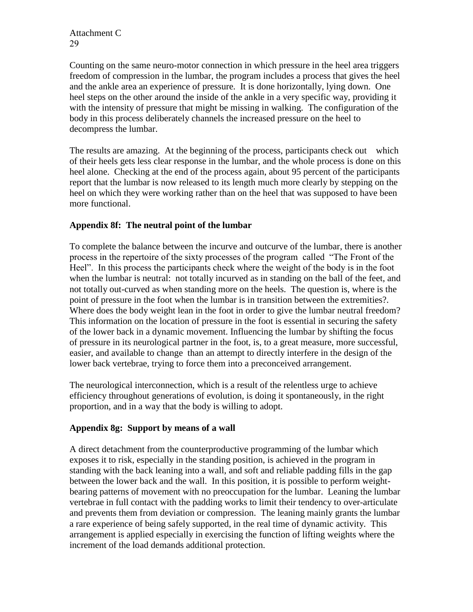Counting on the same neuro-motor connection in which pressure in the heel area triggers freedom of compression in the lumbar, the program includes a process that gives the heel and the ankle area an experience of pressure. It is done horizontally, lying down. One heel steps on the other around the inside of the ankle in a very specific way, providing it with the intensity of pressure that might be missing in walking. The configuration of the body in this process deliberately channels the increased pressure on the heel to decompress the lumbar.

The results are amazing. At the beginning of the process, participants check out which of their heels gets less clear response in the lumbar, and the whole process is done on this heel alone. Checking at the end of the process again, about 95 percent of the participants report that the lumbar is now released to its length much more clearly by stepping on the heel on which they were working rather than on the heel that was supposed to have been more functional.

#### **Appendix 8f: The neutral point of the lumbar**

To complete the balance between the incurve and outcurve of the lumbar, there is another process in the repertoire of the sixty processes of the program called "The Front of the Heel". In this process the participants check where the weight of the body is in the foot when the lumbar is neutral: not totally incurved as in standing on the ball of the feet, and not totally out-curved as when standing more on the heels. The question is, where is the point of pressure in the foot when the lumbar is in transition between the extremities?. Where does the body weight lean in the foot in order to give the lumbar neutral freedom? This information on the location of pressure in the foot is essential in securing the safety of the lower back in a dynamic movement. Influencing the lumbar by shifting the focus of pressure in its neurological partner in the foot, is, to a great measure, more successful, easier, and available to change than an attempt to directly interfere in the design of the lower back vertebrae, trying to force them into a preconceived arrangement.

The neurological interconnection, which is a result of the relentless urge to achieve efficiency throughout generations of evolution, is doing it spontaneously, in the right proportion, and in a way that the body is willing to adopt.

#### **Appendix 8g: Support by means of a wall**

A direct detachment from the counterproductive programming of the lumbar which exposes it to risk, especially in the standing position, is achieved in the program in standing with the back leaning into a wall, and soft and reliable padding fills in the gap between the lower back and the wall. In this position, it is possible to perform weightbearing patterns of movement with no preoccupation for the lumbar. Leaning the lumbar vertebrae in full contact with the padding works to limit their tendency to over-articulate and prevents them from deviation or compression. The leaning mainly grants the lumbar a rare experience of being safely supported, in the real time of dynamic activity. This arrangement is applied especially in exercising the function of lifting weights where the increment of the load demands additional protection.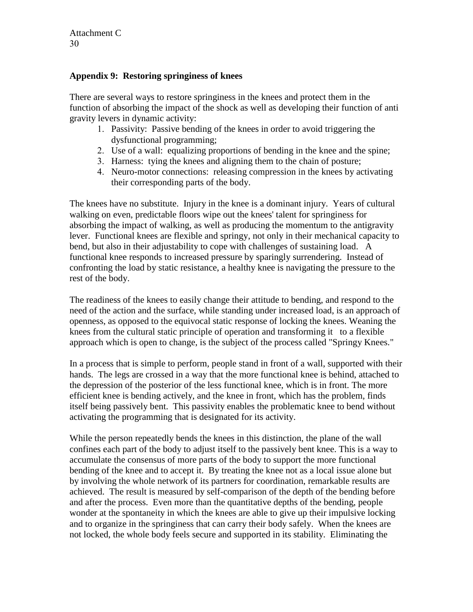Attachment C  $30^{\circ}$ 

#### **Appendix 9: Restoring springiness of knees**

There are several ways to restore springiness in the knees and protect them in the function of absorbing the impact of the shock as well as developing their function of anti gravity levers in dynamic activity:

- 1. Passivity: Passive bending of the knees in order to avoid triggering the dysfunctional programming;
- 2. Use of a wall: equalizing proportions of bending in the knee and the spine;
- 3. Harness: tying the knees and aligning them to the chain of posture;
- 4. Neuro-motor connections: releasing compression in the knees by activating their corresponding parts of the body.

The knees have no substitute. Injury in the knee is a dominant injury. Years of cultural walking on even, predictable floors wipe out the knees' talent for springiness for absorbing the impact of walking, as well as producing the momentum to the antigravity lever. Functional knees are flexible and springy, not only in their mechanical capacity to bend, but also in their adjustability to cope with challenges of sustaining load. A functional knee responds to increased pressure by sparingly surrendering. Instead of confronting the load by static resistance, a healthy knee is navigating the pressure to the rest of the body.

The readiness of the knees to easily change their attitude to bending, and respond to the need of the action and the surface, while standing under increased load, is an approach of openness, as opposed to the equivocal static response of locking the knees. Weaning the knees from the cultural static principle of operation and transforming it to a flexible approach which is open to change, is the subject of the process called "Springy Knees."

In a process that is simple to perform, people stand in front of a wall, supported with their hands. The legs are crossed in a way that the more functional knee is behind, attached to the depression of the posterior of the less functional knee, which is in front. The more efficient knee is bending actively, and the knee in front, which has the problem, finds itself being passively bent. This passivity enables the problematic knee to bend without activating the programming that is designated for its activity.

While the person repeatedly bends the knees in this distinction, the plane of the wall confines each part of the body to adjust itself to the passively bent knee. This is a way to accumulate the consensus of more parts of the body to support the more functional bending of the knee and to accept it. By treating the knee not as a local issue alone but by involving the whole network of its partners for coordination, remarkable results are achieved. The result is measured by self-comparison of the depth of the bending before and after the process. Even more than the quantitative depths of the bending, people wonder at the spontaneity in which the knees are able to give up their impulsive locking and to organize in the springiness that can carry their body safely. When the knees are not locked, the whole body feels secure and supported in its stability. Eliminating the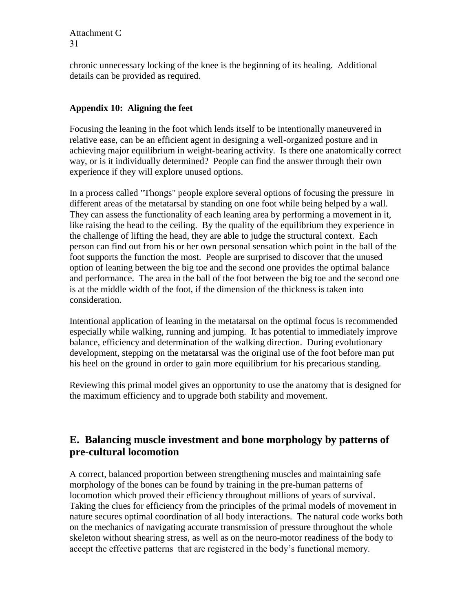chronic unnecessary locking of the knee is the beginning of its healing. Additional details can be provided as required.

#### **Appendix 10: Aligning the feet**

Focusing the leaning in the foot which lends itself to be intentionally maneuvered in relative ease, can be an efficient agent in designing a well-organized posture and in achieving major equilibrium in weight-bearing activity. Is there one anatomically correct way, or is it individually determined? People can find the answer through their own experience if they will explore unused options.

In a process called "Thongs" people explore several options of focusing the pressure in different areas of the metatarsal by standing on one foot while being helped by a wall. They can assess the functionality of each leaning area by performing a movement in it, like raising the head to the ceiling. By the quality of the equilibrium they experience in the challenge of lifting the head, they are able to judge the structural context. Each person can find out from his or her own personal sensation which point in the ball of the foot supports the function the most. People are surprised to discover that the unused option of leaning between the big toe and the second one provides the optimal balance and performance. The area in the ball of the foot between the big toe and the second one is at the middle width of the foot, if the dimension of the thickness is taken into consideration.

Intentional application of leaning in the metatarsal on the optimal focus is recommended especially while walking, running and jumping. It has potential to immediately improve balance, efficiency and determination of the walking direction. During evolutionary development, stepping on the metatarsal was the original use of the foot before man put his heel on the ground in order to gain more equilibrium for his precarious standing.

Reviewing this primal model gives an opportunity to use the anatomy that is designed for the maximum efficiency and to upgrade both stability and movement.

## **E. Balancing muscle investment and bone morphology by patterns of pre-cultural locomotion**

A correct, balanced proportion between strengthening muscles and maintaining safe morphology of the bones can be found by training in the pre-human patterns of locomotion which proved their efficiency throughout millions of years of survival. Taking the clues for efficiency from the principles of the primal models of movement in nature secures optimal coordination of all body interactions. The natural code works both on the mechanics of navigating accurate transmission of pressure throughout the whole skeleton without shearing stress, as well as on the neuro-motor readiness of the body to accept the effective patterns that are registered in the body's functional memory.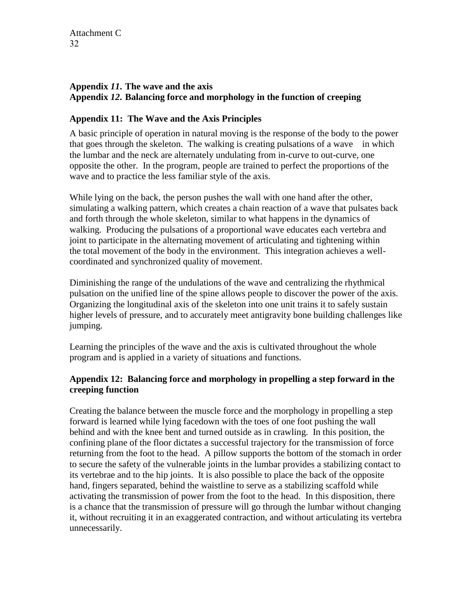#### **Appendix** *11***. The wave and the axis Appendix** *12***. Balancing force and morphology in the function of creeping**

#### **Appendix 11: The Wave and the Axis Principles**

A basic principle of operation in natural moving is the response of the body to the power that goes through the skeleton. The walking is creating pulsations of a wave in which the lumbar and the neck are alternately undulating from in-curve to out-curve, one opposite the other. In the program, people are trained to perfect the proportions of the wave and to practice the less familiar style of the axis.

While lying on the back, the person pushes the wall with one hand after the other, simulating a walking pattern, which creates a chain reaction of a wave that pulsates back and forth through the whole skeleton, similar to what happens in the dynamics of walking. Producing the pulsations of a proportional wave educates each vertebra and joint to participate in the alternating movement of articulating and tightening within the total movement of the body in the environment. This integration achieves a wellcoordinated and synchronized quality of movement.

Diminishing the range of the undulations of the wave and centralizing the rhythmical pulsation on the unified line of the spine allows people to discover the power of the axis. Organizing the longitudinal axis of the skeleton into one unit trains it to safely sustain higher levels of pressure, and to accurately meet antigravity bone building challenges like jumping.

Learning the principles of the wave and the axis is cultivated throughout the whole program and is applied in a variety of situations and functions.

#### **Appendix 12: Balancing force and morphology in propelling a step forward in the creeping function**

Creating the balance between the muscle force and the morphology in propelling a step forward is learned while lying facedown with the toes of one foot pushing the wall behind and with the knee bent and turned outside as in crawling. In this position, the confining plane of the floor dictates a successful trajectory for the transmission of force returning from the foot to the head. A pillow supports the bottom of the stomach in order to secure the safety of the vulnerable joints in the lumbar provides a stabilizing contact to its vertebrae and to the hip joints. It is also possible to place the back of the opposite hand, fingers separated, behind the waistline to serve as a stabilizing scaffold while activating the transmission of power from the foot to the head. In this disposition, there is a chance that the transmission of pressure will go through the lumbar without changing it, without recruiting it in an exaggerated contraction, and without articulating its vertebra unnecessarily.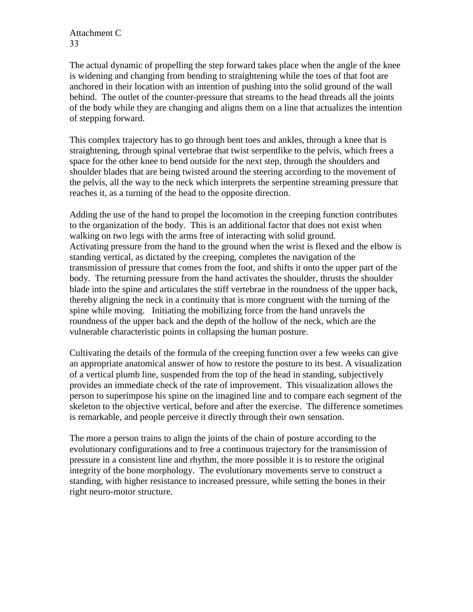The actual dynamic of propelling the step forward takes place when the angle of the knee is widening and changing from bending to straightening while the toes of that foot are anchored in their location with an intention of pushing into the solid ground of the wall behind. The outlet of the counter-pressure that streams to the head threads all the joints of the body while they are changing and aligns them on a line that actualizes the intention of stepping forward.

This complex trajectory has to go through bent toes and ankles, through a knee that is straightening, through spinal vertebrae that twist serpentlike to the pelvis, which frees a space for the other knee to bend outside for the next step, through the shoulders and shoulder blades that are being twisted around the steering according to the movement of the pelvis, all the way to the neck which interprets the serpentine streaming pressure that reaches it, as a turning of the head to the opposite direction.

Adding the use of the hand to propel the locomotion in the creeping function contributes to the organization of the body. This is an additional factor that does not exist when walking on two legs with the arms free of interacting with solid ground. Activating pressure from the hand to the ground when the wrist is flexed and the elbow is standing vertical, as dictated by the creeping, completes the navigation of the transmission of pressure that comes from the foot, and shifts it onto the upper part of the body. The returning pressure from the hand activates the shoulder, thrusts the shoulder blade into the spine and articulates the stiff vertebrae in the roundness of the upper back, thereby aligning the neck in a continuity that is more congruent with the turning of the spine while moving. Initiating the mobilizing force from the hand unravels the roundness of the upper back and the depth of the hollow of the neck, which are the vulnerable characteristic points in collapsing the human posture.

Cultivating the details of the formula of the creeping function over a few weeks can give an appropriate anatomical answer of how to restore the posture to its best. A visualization of a vertical plumb line, suspended from the top of the head in standing, subjectively provides an immediate check of the rate of improvement. This visualization allows the person to superimpose his spine on the imagined line and to compare each segment of the skeleton to the objective vertical, before and after the exercise. The difference sometimes is remarkable, and people perceive it directly through their own sensation.

The more a person trains to align the joints of the chain of posture according to the evolutionary configurations and to free a continuous trajectory for the transmission of pressure in a consistent line and rhythm, the more possible it is to restore the original integrity of the bone morphology. The evolutionary movements serve to construct a standing, with higher resistance to increased pressure, while setting the bones in their right neuro-motor structure.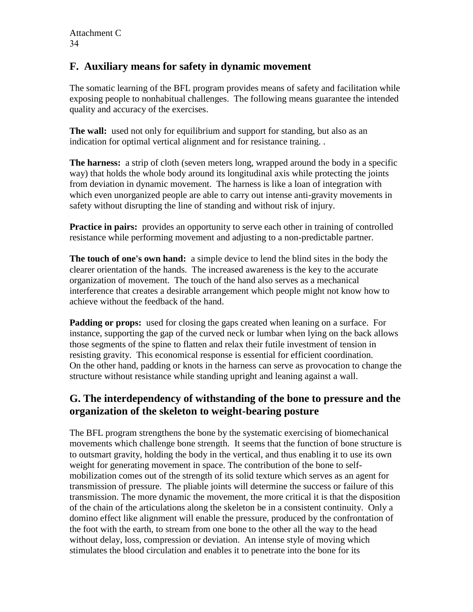## **F. Auxiliary means for safety in dynamic movement**

The somatic learning of the BFL program provides means of safety and facilitation while exposing people to nonhabitual challenges. The following means guarantee the intended quality and accuracy of the exercises.

**The wall:** used not only for equilibrium and support for standing, but also as an indication for optimal vertical alignment and for resistance training. .

**The harness:** a strip of cloth (seven meters long, wrapped around the body in a specific way) that holds the whole body around its longitudinal axis while protecting the joints from deviation in dynamic movement. The harness is like a loan of integration with which even unorganized people are able to carry out intense anti-gravity movements in safety without disrupting the line of standing and without risk of injury.

**Practice in pairs:** provides an opportunity to serve each other in training of controlled resistance while performing movement and adjusting to a non-predictable partner.

**The touch of one's own hand:** a simple device to lend the blind sites in the body the clearer orientation of the hands. The increased awareness is the key to the accurate organization of movement. The touch of the hand also serves as a mechanical interference that creates a desirable arrangement which people might not know how to achieve without the feedback of the hand.

**Padding or props:** used for closing the gaps created when leaning on a surface. For instance, supporting the gap of the curved neck or lumbar when lying on the back allows those segments of the spine to flatten and relax their futile investment of tension in resisting gravity. This economical response is essential for efficient coordination. On the other hand, padding or knots in the harness can serve as provocation to change the structure without resistance while standing upright and leaning against a wall.

## **G. The interdependency of withstanding of the bone to pressure and the organization of the skeleton to weight-bearing posture**

The BFL program strengthens the bone by the systematic exercising of biomechanical movements which challenge bone strength. It seems that the function of bone structure is to outsmart gravity, holding the body in the vertical, and thus enabling it to use its own weight for generating movement in space. The contribution of the bone to selfmobilization comes out of the strength of its solid texture which serves as an agent for transmission of pressure. The pliable joints will determine the success or failure of this transmission. The more dynamic the movement, the more critical it is that the disposition of the chain of the articulations along the skeleton be in a consistent continuity. Only a domino effect like alignment will enable the pressure, produced by the confrontation of the foot with the earth, to stream from one bone to the other all the way to the head without delay, loss, compression or deviation. An intense style of moving which stimulates the blood circulation and enables it to penetrate into the bone for its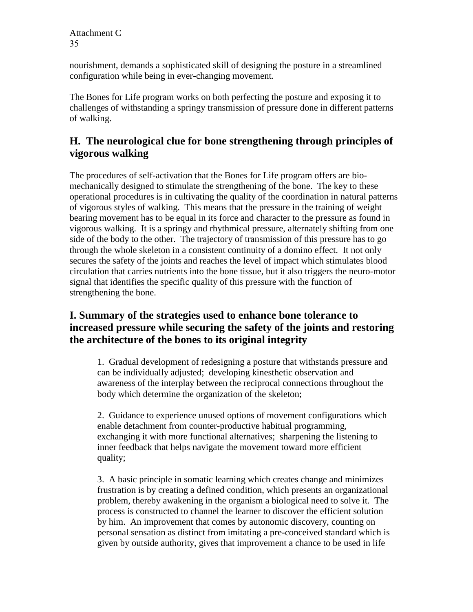nourishment, demands a sophisticated skill of designing the posture in a streamlined configuration while being in ever-changing movement.

The Bones for Life program works on both perfecting the posture and exposing it to challenges of withstanding a springy transmission of pressure done in different patterns of walking.

## **H. The neurological clue for bone strengthening through principles of vigorous walking**

The procedures of self-activation that the Bones for Life program offers are biomechanically designed to stimulate the strengthening of the bone. The key to these operational procedures is in cultivating the quality of the coordination in natural patterns of vigorous styles of walking. This means that the pressure in the training of weight bearing movement has to be equal in its force and character to the pressure as found in vigorous walking. It is a springy and rhythmical pressure, alternately shifting from one side of the body to the other. The trajectory of transmission of this pressure has to go through the whole skeleton in a consistent continuity of a domino effect. It not only secures the safety of the joints and reaches the level of impact which stimulates blood circulation that carries nutrients into the bone tissue, but it also triggers the neuro-motor signal that identifies the specific quality of this pressure with the function of strengthening the bone.

## **I. Summary of the strategies used to enhance bone tolerance to increased pressure while securing the safety of the joints and restoring the architecture of the bones to its original integrity**

1. Gradual development of redesigning a posture that withstands pressure and can be individually adjusted; developing kinesthetic observation and awareness of the interplay between the reciprocal connections throughout the body which determine the organization of the skeleton;

2. Guidance to experience unused options of movement configurations which enable detachment from counter-productive habitual programming, exchanging it with more functional alternatives; sharpening the listening to inner feedback that helps navigate the movement toward more efficient quality;

3. A basic principle in somatic learning which creates change and minimizes frustration is by creating a defined condition, which presents an organizational problem, thereby awakening in the organism a biological need to solve it. The process is constructed to channel the learner to discover the efficient solution by him. An improvement that comes by autonomic discovery, counting on personal sensation as distinct from imitating a pre-conceived standard which is given by outside authority, gives that improvement a chance to be used in life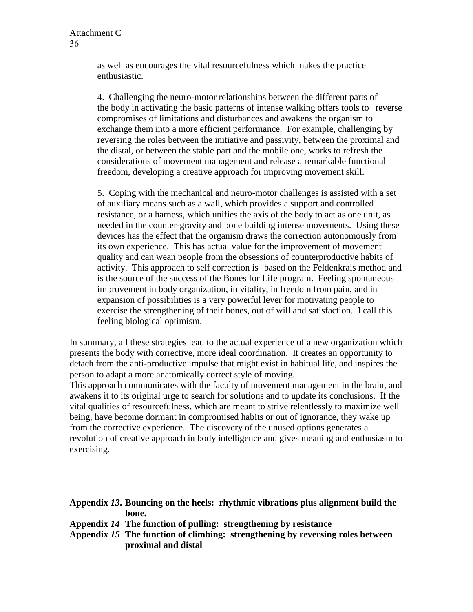as well as encourages the vital resourcefulness which makes the practice enthusiastic.

4. Challenging the neuro-motor relationships between the different parts of the body in activating the basic patterns of intense walking offers tools to reverse compromises of limitations and disturbances and awakens the organism to exchange them into a more efficient performance. For example, challenging by reversing the roles between the initiative and passivity, between the proximal and the distal, or between the stable part and the mobile one, works to refresh the considerations of movement management and release a remarkable functional freedom, developing a creative approach for improving movement skill.

5. Coping with the mechanical and neuro-motor challenges is assisted with a set of auxiliary means such as a wall, which provides a support and controlled resistance, or a harness, which unifies the axis of the body to act as one unit, as needed in the counter-gravity and bone building intense movements. Using these devices has the effect that the organism draws the correction autonomously from its own experience. This has actual value for the improvement of movement quality and can wean people from the obsessions of counterproductive habits of activity. This approach to self correction is based on the Feldenkrais method and is the source of the success of the Bones for Life program. Feeling spontaneous improvement in body organization, in vitality, in freedom from pain, and in expansion of possibilities is a very powerful lever for motivating people to exercise the strengthening of their bones, out of will and satisfaction. I call this feeling biological optimism.

In summary, all these strategies lead to the actual experience of a new organization which presents the body with corrective, more ideal coordination. It creates an opportunity to detach from the anti-productive impulse that might exist in habitual life, and inspires the person to adapt a more anatomically correct style of moving.

This approach communicates with the faculty of movement management in the brain, and awakens it to its original urge to search for solutions and to update its conclusions. If the vital qualities of resourcefulness, which are meant to strive relentlessly to maximize well being, have become dormant in compromised habits or out of ignorance, they wake up from the corrective experience. The discovery of the unused options generates a revolution of creative approach in body intelligence and gives meaning and enthusiasm to exercising.

| Appendix 13. Bouncing on the heels: rhythmic vibrations plus alignment build the |  |  |
|----------------------------------------------------------------------------------|--|--|
| bone.                                                                            |  |  |

- **Appendix** *14* **The function of pulling: strengthening by resistance**
- **Appendix** *15* **The function of climbing: strengthening by reversing roles between proximal and distal**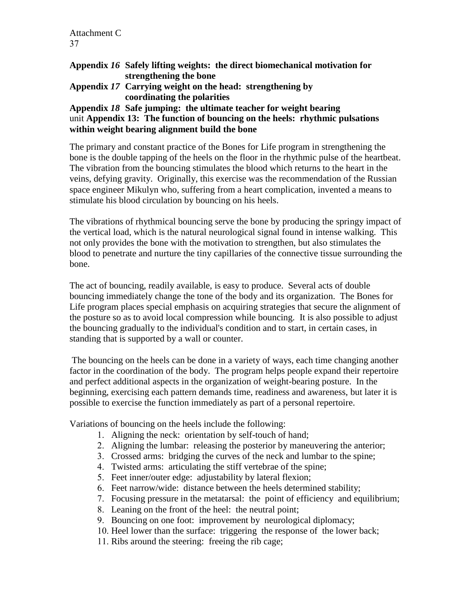- **Appendix** *16* **Safely lifting weights: the direct biomechanical motivation for strengthening the bone**
- **Appendix** *17* **Carrying weight on the head: strengthening by coordinating the polarities**

#### **Appendix** *18* **Safe jumping: the ultimate teacher for weight bearing** unit **Appendix 13: The function of bouncing on the heels: rhythmic pulsations within weight bearing alignment build the bone**

The primary and constant practice of the Bones for Life program in strengthening the bone is the double tapping of the heels on the floor in the rhythmic pulse of the heartbeat. The vibration from the bouncing stimulates the blood which returns to the heart in the veins, defying gravity. Originally, this exercise was the recommendation of the Russian space engineer Mikulyn who, suffering from a heart complication, invented a means to stimulate his blood circulation by bouncing on his heels.

The vibrations of rhythmical bouncing serve the bone by producing the springy impact of the vertical load, which is the natural neurological signal found in intense walking. This not only provides the bone with the motivation to strengthen, but also stimulates the blood to penetrate and nurture the tiny capillaries of the connective tissue surrounding the bone.

The act of bouncing, readily available, is easy to produce. Several acts of double bouncing immediately change the tone of the body and its organization. The Bones for Life program places special emphasis on acquiring strategies that secure the alignment of the posture so as to avoid local compression while bouncing. It is also possible to adjust the bouncing gradually to the individual's condition and to start, in certain cases, in standing that is supported by a wall or counter.

The bouncing on the heels can be done in a variety of ways, each time changing another factor in the coordination of the body. The program helps people expand their repertoire and perfect additional aspects in the organization of weight-bearing posture. In the beginning, exercising each pattern demands time, readiness and awareness, but later it is possible to exercise the function immediately as part of a personal repertoire.

Variations of bouncing on the heels include the following:

- 1. Aligning the neck: orientation by self-touch of hand;
- 2. Aligning the lumbar: releasing the posterior by maneuvering the anterior;
- 3. Crossed arms: bridging the curves of the neck and lumbar to the spine;
- 4. Twisted arms: articulating the stiff vertebrae of the spine;
- 5. Feet inner/outer edge: adjustability by lateral flexion;
- 6. Feet narrow/wide: distance between the heels determined stability;
- 7. Focusing pressure in the metatarsal: the point of efficiency and equilibrium;
- 8. Leaning on the front of the heel: the neutral point;
- 9. Bouncing on one foot: improvement by neurological diplomacy;
- 10. Heel lower than the surface: triggering the response of the lower back;
- 11. Ribs around the steering: freeing the rib cage;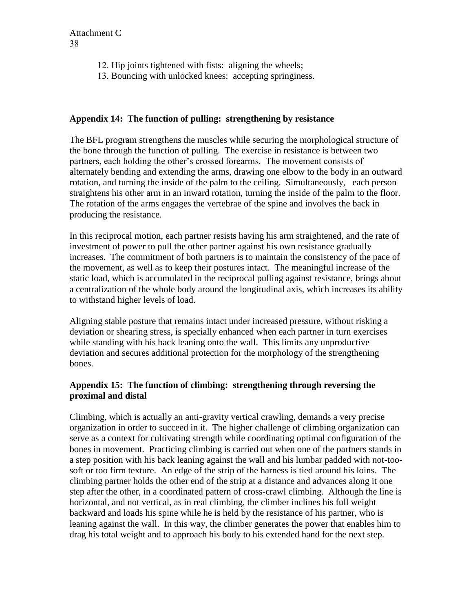- 12. Hip joints tightened with fists: aligning the wheels;
- 13. Bouncing with unlocked knees: accepting springiness.

#### **Appendix 14: The function of pulling: strengthening by resistance**

The BFL program strengthens the muscles while securing the morphological structure of the bone through the function of pulling. The exercise in resistance is between two partners, each holding the other's crossed forearms. The movement consists of alternately bending and extending the arms, drawing one elbow to the body in an outward rotation, and turning the inside of the palm to the ceiling. Simultaneously, each person straightens his other arm in an inward rotation, turning the inside of the palm to the floor. The rotation of the arms engages the vertebrae of the spine and involves the back in producing the resistance.

In this reciprocal motion, each partner resists having his arm straightened, and the rate of investment of power to pull the other partner against his own resistance gradually increases. The commitment of both partners is to maintain the consistency of the pace of the movement, as well as to keep their postures intact. The meaningful increase of the static load, which is accumulated in the reciprocal pulling against resistance, brings about a centralization of the whole body around the longitudinal axis, which increases its ability to withstand higher levels of load.

Aligning stable posture that remains intact under increased pressure, without risking a deviation or shearing stress, is specially enhanced when each partner in turn exercises while standing with his back leaning onto the wall. This limits any unproductive deviation and secures additional protection for the morphology of the strengthening bones.

#### **Appendix 15: The function of climbing: strengthening through reversing the proximal and distal**

Climbing, which is actually an anti-gravity vertical crawling, demands a very precise organization in order to succeed in it. The higher challenge of climbing organization can serve as a context for cultivating strength while coordinating optimal configuration of the bones in movement. Practicing climbing is carried out when one of the partners stands in a step position with his back leaning against the wall and his lumbar padded with not-toosoft or too firm texture. An edge of the strip of the harness is tied around his loins. The climbing partner holds the other end of the strip at a distance and advances along it one step after the other, in a coordinated pattern of cross-crawl climbing. Although the line is horizontal, and not vertical, as in real climbing, the climber inclines his full weight backward and loads his spine while he is held by the resistance of his partner, who is leaning against the wall. In this way, the climber generates the power that enables him to drag his total weight and to approach his body to his extended hand for the next step.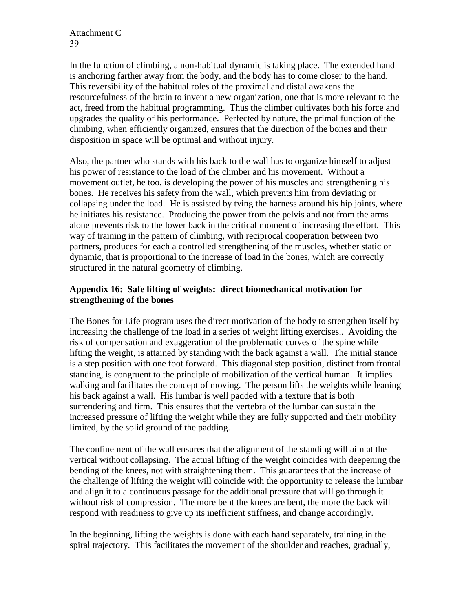In the function of climbing, a non-habitual dynamic is taking place. The extended hand is anchoring farther away from the body, and the body has to come closer to the hand. This reversibility of the habitual roles of the proximal and distal awakens the resourcefulness of the brain to invent a new organization, one that is more relevant to the act, freed from the habitual programming. Thus the climber cultivates both his force and upgrades the quality of his performance. Perfected by nature, the primal function of the climbing, when efficiently organized, ensures that the direction of the bones and their disposition in space will be optimal and without injury.

Also, the partner who stands with his back to the wall has to organize himself to adjust his power of resistance to the load of the climber and his movement. Without a movement outlet, he too, is developing the power of his muscles and strengthening his bones. He receives his safety from the wall, which prevents him from deviating or collapsing under the load. He is assisted by tying the harness around his hip joints, where he initiates his resistance. Producing the power from the pelvis and not from the arms alone prevents risk to the lower back in the critical moment of increasing the effort. This way of training in the pattern of climbing, with reciprocal cooperation between two partners, produces for each a controlled strengthening of the muscles, whether static or dynamic, that is proportional to the increase of load in the bones, which are correctly structured in the natural geometry of climbing.

#### **Appendix 16: Safe lifting of weights: direct biomechanical motivation for strengthening of the bones**

The Bones for Life program uses the direct motivation of the body to strengthen itself by increasing the challenge of the load in a series of weight lifting exercises.. Avoiding the risk of compensation and exaggeration of the problematic curves of the spine while lifting the weight, is attained by standing with the back against a wall. The initial stance is a step position with one foot forward. This diagonal step position, distinct from frontal standing, is congruent to the principle of mobilization of the vertical human. It implies walking and facilitates the concept of moving. The person lifts the weights while leaning his back against a wall. His lumbar is well padded with a texture that is both surrendering and firm. This ensures that the vertebra of the lumbar can sustain the increased pressure of lifting the weight while they are fully supported and their mobility limited, by the solid ground of the padding.

The confinement of the wall ensures that the alignment of the standing will aim at the vertical without collapsing. The actual lifting of the weight coincides with deepening the bending of the knees, not with straightening them. This guarantees that the increase of the challenge of lifting the weight will coincide with the opportunity to release the lumbar and align it to a continuous passage for the additional pressure that will go through it without risk of compression. The more bent the knees are bent, the more the back will respond with readiness to give up its inefficient stiffness, and change accordingly.

In the beginning, lifting the weights is done with each hand separately, training in the spiral trajectory. This facilitates the movement of the shoulder and reaches, gradually,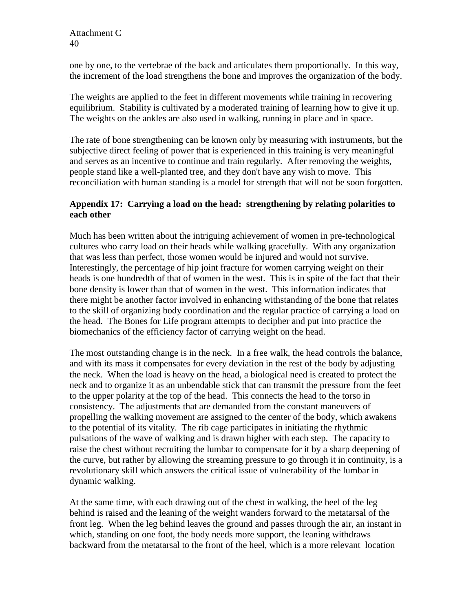one by one, to the vertebrae of the back and articulates them proportionally. In this way, the increment of the load strengthens the bone and improves the organization of the body.

The weights are applied to the feet in different movements while training in recovering equilibrium. Stability is cultivated by a moderated training of learning how to give it up. The weights on the ankles are also used in walking, running in place and in space.

The rate of bone strengthening can be known only by measuring with instruments, but the subjective direct feeling of power that is experienced in this training is very meaningful and serves as an incentive to continue and train regularly. After removing the weights, people stand like a well-planted tree, and they don't have any wish to move. This reconciliation with human standing is a model for strength that will not be soon forgotten.

#### **Appendix 17: Carrying a load on the head: strengthening by relating polarities to each other**

Much has been written about the intriguing achievement of women in pre-technological cultures who carry load on their heads while walking gracefully. With any organization that was less than perfect, those women would be injured and would not survive. Interestingly, the percentage of hip joint fracture for women carrying weight on their heads is one hundredth of that of women in the west. This is in spite of the fact that their bone density is lower than that of women in the west. This information indicates that there might be another factor involved in enhancing withstanding of the bone that relates to the skill of organizing body coordination and the regular practice of carrying a load on the head. The Bones for Life program attempts to decipher and put into practice the biomechanics of the efficiency factor of carrying weight on the head.

The most outstanding change is in the neck. In a free walk, the head controls the balance, and with its mass it compensates for every deviation in the rest of the body by adjusting the neck. When the load is heavy on the head, a biological need is created to protect the neck and to organize it as an unbendable stick that can transmit the pressure from the feet to the upper polarity at the top of the head. This connects the head to the torso in consistency. The adjustments that are demanded from the constant maneuvers of propelling the walking movement are assigned to the center of the body, which awakens to the potential of its vitality. The rib cage participates in initiating the rhythmic pulsations of the wave of walking and is drawn higher with each step. The capacity to raise the chest without recruiting the lumbar to compensate for it by a sharp deepening of the curve, but rather by allowing the streaming pressure to go through it in continuity, is a revolutionary skill which answers the critical issue of vulnerability of the lumbar in dynamic walking.

At the same time, with each drawing out of the chest in walking, the heel of the leg behind is raised and the leaning of the weight wanders forward to the metatarsal of the front leg. When the leg behind leaves the ground and passes through the air, an instant in which, standing on one foot, the body needs more support, the leaning withdraws backward from the metatarsal to the front of the heel, which is a more relevant location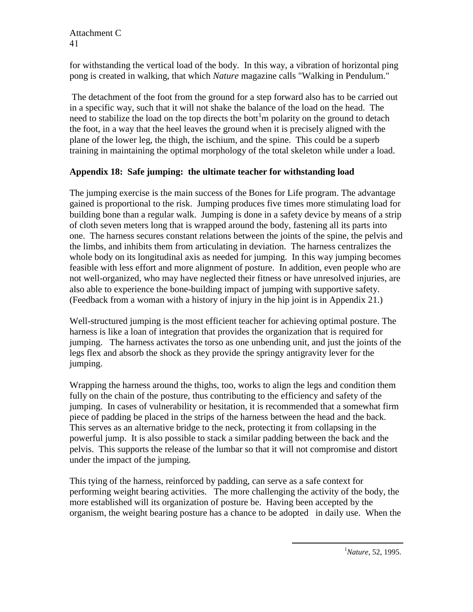for withstanding the vertical load of the body. In this way, a vibration of horizontal ping pong is created in walking, that which *Nature* magazine calls "Walking in Pendulum."

The detachment of the foot from the ground for a step forward also has to be carried out in a specific way, such that it will not shake the balance of the load on the head. The need to stabilize the load on the top directs the bott<sup>1</sup>m polarity on the ground to detach the foot, in a way that the heel leaves the ground when it is precisely aligned with the plane of the lower leg, the thigh, the ischium, and the spine. This could be a superb training in maintaining the optimal morphology of the total skeleton while under a load.

#### **Appendix 18: Safe jumping: the ultimate teacher for withstanding load**

The jumping exercise is the main success of the Bones for Life program. The advantage gained is proportional to the risk. Jumping produces five times more stimulating load for building bone than a regular walk. Jumping is done in a safety device by means of a strip of cloth seven meters long that is wrapped around the body, fastening all its parts into one. The harness secures constant relations between the joints of the spine, the pelvis and the limbs, and inhibits them from articulating in deviation. The harness centralizes the whole body on its longitudinal axis as needed for jumping. In this way jumping becomes feasible with less effort and more alignment of posture. In addition, even people who are not well-organized, who may have neglected their fitness or have unresolved injuries, are also able to experience the bone-building impact of jumping with supportive safety. (Feedback from a woman with a history of injury in the hip joint is in Appendix 21.)

Well-structured jumping is the most efficient teacher for achieving optimal posture. The harness is like a loan of integration that provides the organization that is required for jumping. The harness activates the torso as one unbending unit, and just the joints of the legs flex and absorb the shock as they provide the springy antigravity lever for the jumping.

Wrapping the harness around the thighs, too, works to align the legs and condition them fully on the chain of the posture, thus contributing to the efficiency and safety of the jumping. In cases of vulnerability or hesitation, it is recommended that a somewhat firm piece of padding be placed in the strips of the harness between the head and the back. This serves as an alternative bridge to the neck, protecting it from collapsing in the powerful jump. It is also possible to stack a similar padding between the back and the pelvis. This supports the release of the lumbar so that it will not compromise and distort under the impact of the jumping.

This tying of the harness, reinforced by padding, can serve as a safe context for performing weight bearing activities. The more challenging the activity of the body, the more established will its organization of posture be. Having been accepted by the organism, the weight bearing posture has a chance to be adopted in daily use. When the

 $\overline{a}$ 

<sup>1</sup>*Nature*, 52, 1995.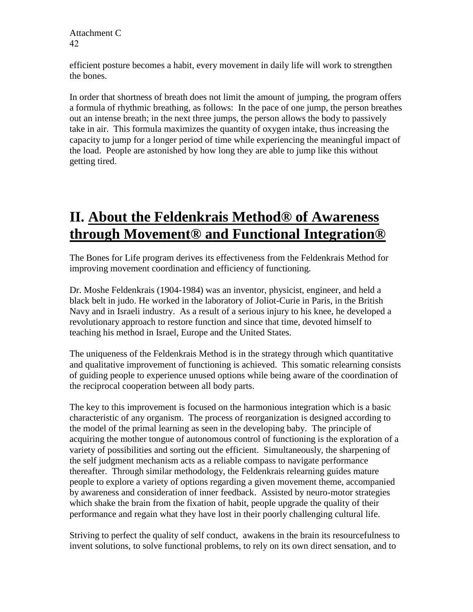efficient posture becomes a habit, every movement in daily life will work to strengthen the bones.

In order that shortness of breath does not limit the amount of jumping, the program offers a formula of rhythmic breathing, as follows: In the pace of one jump, the person breathes out an intense breath; in the next three jumps, the person allows the body to passively take in air. This formula maximizes the quantity of oxygen intake, thus increasing the capacity to jump for a longer period of time while experiencing the meaningful impact of the load. People are astonished by how long they are able to jump like this without getting tired.

# **II. About the Feldenkrais Method® of Awareness through Movement® and Functional Integration®**

The Bones for Life program derives its effectiveness from the Feldenkrais Method for improving movement coordination and efficiency of functioning.

Dr. Moshe Feldenkrais (1904-1984) was an inventor, physicist, engineer, and held a black belt in judo. He worked in the laboratory of Joliot-Curie in Paris, in the British Navy and in Israeli industry. As a result of a serious injury to his knee, he developed a revolutionary approach to restore function and since that time, devoted himself to teaching his method in Israel, Europe and the United States.

The uniqueness of the Feldenkrais Method is in the strategy through which quantitative and qualitative improvement of functioning is achieved. This somatic relearning consists of guiding people to experience unused options while being aware of the coordination of the reciprocal cooperation between all body parts.

The key to this improvement is focused on the harmonious integration which is a basic characteristic of any organism. The process of reorganization is designed according to the model of the primal learning as seen in the developing baby. The principle of acquiring the mother tongue of autonomous control of functioning is the exploration of a variety of possibilities and sorting out the efficient. Simultaneously, the sharpening of the self judgment mechanism acts as a reliable compass to navigate performance thereafter. Through similar methodology, the Feldenkrais relearning guides mature people to explore a variety of options regarding a given movement theme, accompanied by awareness and consideration of inner feedback. Assisted by neuro-motor strategies which shake the brain from the fixation of habit, people upgrade the quality of their performance and regain what they have lost in their poorly challenging cultural life.

Striving to perfect the quality of self conduct, awakens in the brain its resourcefulness to invent solutions, to solve functional problems, to rely on its own direct sensation, and to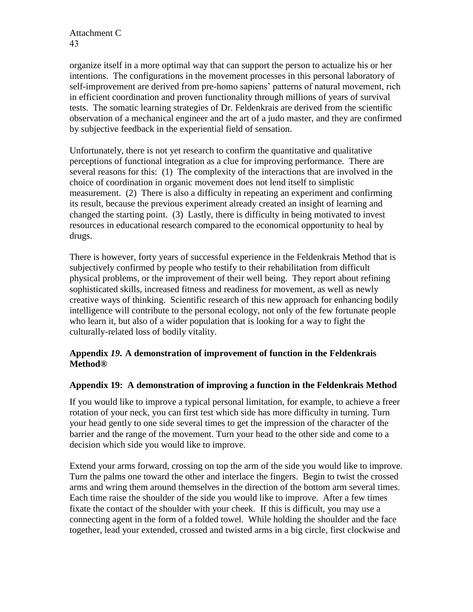organize itself in a more optimal way that can support the person to actualize his or her intentions. The configurations in the movement processes in this personal laboratory of self-improvement are derived from pre-homo sapiens' patterns of natural movement, rich in efficient coordination and proven functionality through millions of years of survival tests. The somatic learning strategies of Dr. Feldenkrais are derived from the scientific observation of a mechanical engineer and the art of a judo master, and they are confirmed by subjective feedback in the experiential field of sensation.

Unfortunately, there is not yet research to confirm the quantitative and qualitative perceptions of functional integration as a clue for improving performance. There are several reasons for this: (1) The complexity of the interactions that are involved in the choice of coordination in organic movement does not lend itself to simplistic measurement. (2) There is also a difficulty in repeating an experiment and confirming its result, because the previous experiment already created an insight of learning and changed the starting point. (3) Lastly, there is difficulty in being motivated to invest resources in educational research compared to the economical opportunity to heal by drugs.

There is however, forty years of successful experience in the Feldenkrais Method that is subjectively confirmed by people who testify to their rehabilitation from difficult physical problems, or the improvement of their well being. They report about refining sophisticated skills, increased fitness and readiness for movement, as well as newly creative ways of thinking. Scientific research of this new approach for enhancing bodily intelligence will contribute to the personal ecology, not only of the few fortunate people who learn it, but also of a wider population that is looking for a way to fight the culturally-related loss of bodily vitality.

#### **Appendix** *19***. A demonstration of improvement of function in the Feldenkrais Method®**

#### **Appendix 19: A demonstration of improving a function in the Feldenkrais Method**

If you would like to improve a typical personal limitation, for example, to achieve a freer rotation of your neck, you can first test which side has more difficulty in turning. Turn your head gently to one side several times to get the impression of the character of the barrier and the range of the movement. Turn your head to the other side and come to a decision which side you would like to improve.

Extend your arms forward, crossing on top the arm of the side you would like to improve. Turn the palms one toward the other and interlace the fingers. Begin to twist the crossed arms and wring them around themselves in the direction of the bottom arm several times. Each time raise the shoulder of the side you would like to improve. After a few times fixate the contact of the shoulder with your cheek. If this is difficult, you may use a connecting agent in the form of a folded towel. While holding the shoulder and the face together, lead your extended, crossed and twisted arms in a big circle, first clockwise and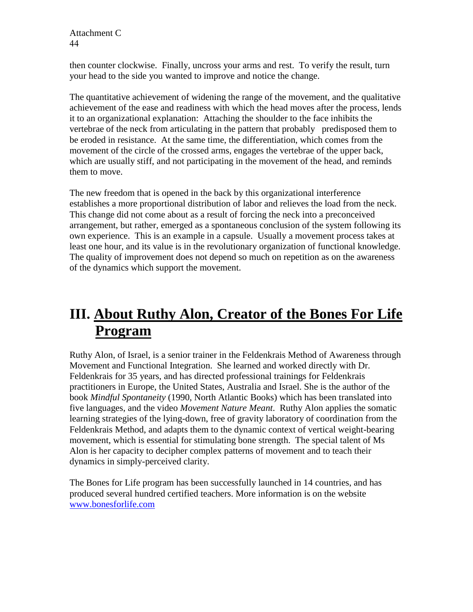then counter clockwise. Finally, uncross your arms and rest. To verify the result, turn your head to the side you wanted to improve and notice the change.

The quantitative achievement of widening the range of the movement, and the qualitative achievement of the ease and readiness with which the head moves after the process, lends it to an organizational explanation: Attaching the shoulder to the face inhibits the vertebrae of the neck from articulating in the pattern that probably predisposed them to be eroded in resistance. At the same time, the differentiation, which comes from the movement of the circle of the crossed arms, engages the vertebrae of the upper back, which are usually stiff, and not participating in the movement of the head, and reminds them to move.

The new freedom that is opened in the back by this organizational interference establishes a more proportional distribution of labor and relieves the load from the neck. This change did not come about as a result of forcing the neck into a preconceived arrangement, but rather, emerged as a spontaneous conclusion of the system following its own experience. This is an example in a capsule. Usually a movement process takes at least one hour, and its value is in the revolutionary organization of functional knowledge. The quality of improvement does not depend so much on repetition as on the awareness of the dynamics which support the movement.

# **III. About Ruthy Alon, Creator of the Bones For Life Program**

Ruthy Alon, of Israel, is a senior trainer in the Feldenkrais Method of Awareness through Movement and Functional Integration. She learned and worked directly with Dr. Feldenkrais for 35 years, and has directed professional trainings for Feldenkrais practitioners in Europe, the United States, Australia and Israel. She is the author of the book *Mindful Spontaneity* (1990, North Atlantic Books) which has been translated into five languages, and the video *Movement Nature Meant*. Ruthy Alon applies the somatic learning strategies of the lying-down, free of gravity laboratory of coordination from the Feldenkrais Method, and adapts them to the dynamic context of vertical weight-bearing movement, which is essential for stimulating bone strength. The special talent of Ms Alon is her capacity to decipher complex patterns of movement and to teach their dynamics in simply-perceived clarity.

The Bones for Life program has been successfully launched in 14 countries, and has produced several hundred certified teachers. More information is on the website [www.bonesforlife.com](http://www.bonesforlife.com/)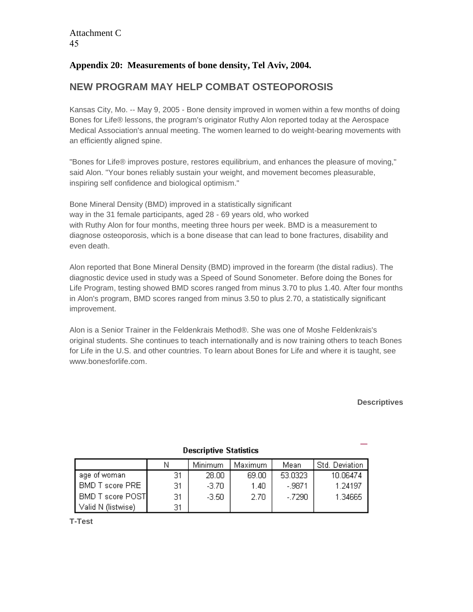### **Appendix 20: Measurements of bone density, Tel Aviv, 2004.**

## **NEW PROGRAM MAY HELP COMBAT OSTEOPOROSIS**

Kansas City, Mo. -- May 9, 2005 - Bone density improved in women within a few months of doing Bones for Life® lessons, the program's originator Ruthy Alon reported today at the Aerospace Medical Association's annual meeting. The women learned to do weight-bearing movements with an efficiently aligned spine.

"Bones for Life® improves posture, restores equilibrium, and enhances the pleasure of moving," said Alon. "Your bones reliably sustain your weight, and movement becomes pleasurable, inspiring self confidence and biological optimism."

Bone Mineral Density (BMD) improved in a statistically significant way in the 31 female participants, aged 28 - 69 years old, who worked with Ruthy Alon for four months, meeting three hours per week. BMD is a measurement to diagnose osteoporosis, which is a bone disease that can lead to bone fractures, disability and even death.

Alon reported that Bone Mineral Density (BMD) improved in the forearm (the distal radius). The diagnostic device used in study was a Speed of Sound Sonometer. Before doing the Bones for Life Program, testing showed BMD scores ranged from minus 3.70 to plus 1.40. After four months in Alon's program, BMD scores ranged from minus 3.50 to plus 2.70, a statistically significant improvement.

Alon is a Senior Trainer in the Feldenkrais Method®. She was one of Moshe Feldenkrais's original students. She continues to teach internationally and is now training others to teach Bones for Life in the U.S. and other countries. To learn about Bones for Life and where it is taught, see www.bonesforlife.com.

#### **Descriptives**

| <b>DOGGILDGE STATISHED</b> |    |         |          |          |                |  |
|----------------------------|----|---------|----------|----------|----------------|--|
|                            | Ν  | Minimum | Maximum. | Mean     | Std. Deviation |  |
| age of woman               | 31 | 28.00   | 69.00    | 53.0323  | 10.06474       |  |
| BMD T score PRE            | 31 | $-3.70$ | 1.40     | $-9871$  | 1.24197        |  |
| BMD T score POST           | 31 | $-3.50$ | 2.70     | $-.7290$ | 1.34665        |  |
| Valid N (listwise)         | 31 |         |          |          |                |  |

#### **Descriptive Statistics**

**T-Test**